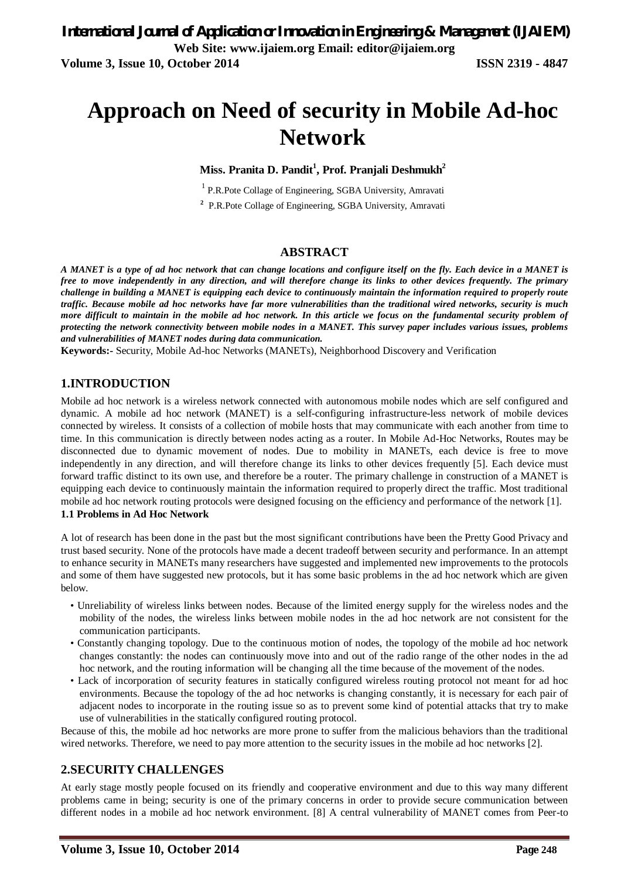# **Approach on Need of security in Mobile Ad-hoc Network**

**Miss. Pranita D. Pandit<sup>1</sup> , Prof. Pranjali Deshmukh<sup>2</sup>**

<sup>1</sup> P.R.Pote Collage of Engineering, SGBA University, Amravati

**2** P.R.Pote Collage of Engineering, SGBA University, Amravati

#### **ABSTRACT**

*A MANET is a type of ad hoc network that can change locations and configure itself on the fly. Each device in a MANET is free to move independently in any direction, and will therefore change its links to other devices frequently. The primary challenge in building a MANET is equipping each device to continuously maintain the information required to properly route traffic. Because mobile ad hoc networks have far more vulnerabilities than the traditional wired networks, security is much more difficult to maintain in the mobile ad hoc network. In this article we focus on the fundamental security problem of protecting the network connectivity between mobile nodes in a MANET. This survey paper includes various issues, problems and vulnerabilities of MANET nodes during data communication.*

**Keywords:-** Security, Mobile Ad-hoc Networks (MANETs), Neighborhood Discovery and Verification

#### **1.INTRODUCTION**

Mobile ad hoc network is a wireless network connected with autonomous mobile nodes which are self configured and dynamic. A mobile ad hoc network (MANET) is a self-configuring infrastructure-less network of mobile devices connected by wireless. It consists of a collection of mobile hosts that may communicate with each another from time to time. In this communication is directly between nodes acting as a router. In Mobile Ad-Hoc Networks, Routes may be disconnected due to dynamic movement of nodes. Due to mobility in MANETs, each device is free to move independently in any direction, and will therefore change its links to other devices frequently [5]. Each device must forward traffic distinct to its own use, and therefore be a router. The primary challenge in construction of a MANET is equipping each device to continuously maintain the information required to properly direct the traffic. Most traditional mobile ad hoc network routing protocols were designed focusing on the efficiency and performance of the network [1]. **1.1 Problems in Ad Hoc Network**

A lot of research has been done in the past but the most significant contributions have been the Pretty Good Privacy and trust based security. None of the protocols have made a decent tradeoff between security and performance. In an attempt to enhance security in MANETs many researchers have suggested and implemented new improvements to the protocols and some of them have suggested new protocols, but it has some basic problems in the ad hoc network which are given below.

- Unreliability of wireless links between nodes. Because of the limited energy supply for the wireless nodes and the mobility of the nodes, the wireless links between mobile nodes in the ad hoc network are not consistent for the communication participants.
- Constantly changing topology. Due to the continuous motion of nodes, the topology of the mobile ad hoc network changes constantly: the nodes can continuously move into and out of the radio range of the other nodes in the ad hoc network, and the routing information will be changing all the time because of the movement of the nodes.
- Lack of incorporation of security features in statically configured wireless routing protocol not meant for ad hoc environments. Because the topology of the ad hoc networks is changing constantly, it is necessary for each pair of adjacent nodes to incorporate in the routing issue so as to prevent some kind of potential attacks that try to make use of vulnerabilities in the statically configured routing protocol.

Because of this, the mobile ad hoc networks are more prone to suffer from the malicious behaviors than the traditional wired networks. Therefore, we need to pay more attention to the security issues in the mobile ad hoc networks [2].

#### **2.SECURITY CHALLENGES**

At early stage mostly people focused on its friendly and cooperative environment and due to this way many different problems came in being; security is one of the primary concerns in order to provide secure communication between different nodes in a mobile ad hoc network environment. [8] A central vulnerability of MANET comes from Peer-to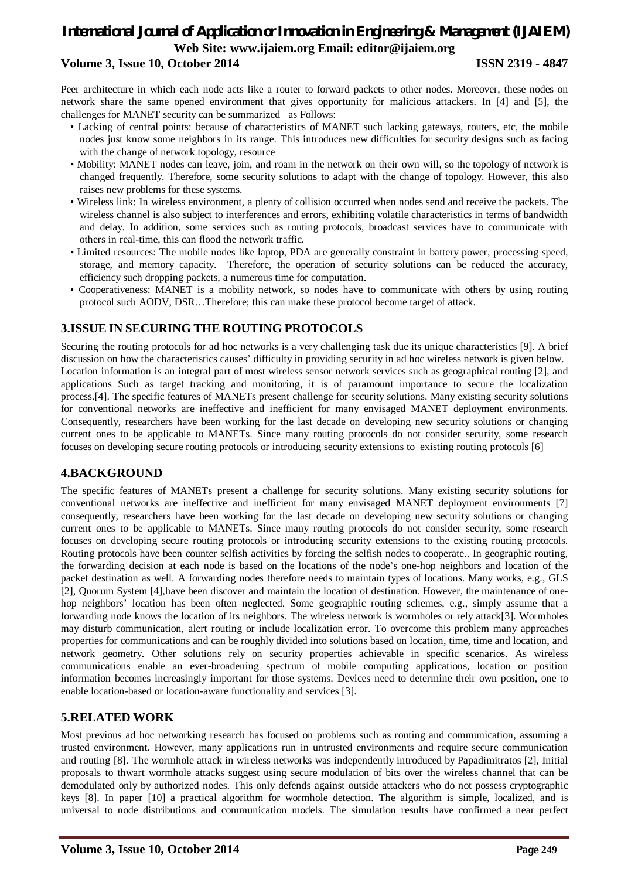# *International Journal of Application or Innovation in Engineering & Management (IJAIEM)* **Web Site: www.ijaiem.org Email: editor@ijaiem.org**

#### **Volume 3, Issue 10, October 2014 ISSN 2319 - 4847**

Peer architecture in which each node acts like a router to forward packets to other nodes. Moreover, these nodes on network share the same opened environment that gives opportunity for malicious attackers. In [4] and [5], the challenges for MANET security can be summarized as Follows:

- Lacking of central points: because of characteristics of MANET such lacking gateways, routers, etc, the mobile nodes just know some neighbors in its range. This introduces new difficulties for security designs such as facing with the change of network topology, resource
- Mobility: MANET nodes can leave, join, and roam in the network on their own will, so the topology of network is changed frequently. Therefore, some security solutions to adapt with the change of topology. However, this also raises new problems for these systems.
- Wireless link: In wireless environment, a plenty of collision occurred when nodes send and receive the packets. The wireless channel is also subject to interferences and errors, exhibiting volatile characteristics in terms of bandwidth and delay. In addition, some services such as routing protocols, broadcast services have to communicate with others in real-time, this can flood the network traffic.
- Limited resources: The mobile nodes like laptop, PDA are generally constraint in battery power, processing speed, storage, and memory capacity. Therefore, the operation of security solutions can be reduced the accuracy, efficiency such dropping packets, a numerous time for computation.
- Cooperativeness: MANET is a mobility network, so nodes have to communicate with others by using routing protocol such AODV, DSR…Therefore; this can make these protocol become target of attack.

# **3.ISSUE IN SECURING THE ROUTING PROTOCOLS**

Securing the routing protocols for ad hoc networks is a very challenging task due its unique characteristics [9]. A brief discussion on how the characteristics causes' difficulty in providing security in ad hoc wireless network is given below. Location information is an integral part of most wireless sensor network services such as geographical routing [2], and applications Such as target tracking and monitoring, it is of paramount importance to secure the localization process.[4]. The specific features of MANETs present challenge for security solutions. Many existing security solutions for conventional networks are ineffective and inefficient for many envisaged MANET deployment environments. Consequently, researchers have been working for the last decade on developing new security solutions or changing current ones to be applicable to MANETs. Since many routing protocols do not consider security, some research focuses on developing secure routing protocols or introducing security extensions to existing routing protocols [6]

#### **4.BACKGROUND**

The specific features of MANETs present a challenge for security solutions. Many existing security solutions for conventional networks are ineffective and inefficient for many envisaged MANET deployment environments [7] consequently, researchers have been working for the last decade on developing new security solutions or changing current ones to be applicable to MANETs. Since many routing protocols do not consider security, some research focuses on developing secure routing protocols or introducing security extensions to the existing routing protocols. Routing protocols have been counter selfish activities by forcing the selfish nodes to cooperate.. In geographic routing, the forwarding decision at each node is based on the locations of the node's one-hop neighbors and location of the packet destination as well. A forwarding nodes therefore needs to maintain types of locations. Many works, e.g., GLS [2], Quorum System [4],have been discover and maintain the location of destination. However, the maintenance of onehop neighbors' location has been often neglected. Some geographic routing schemes, e.g., simply assume that a forwarding node knows the location of its neighbors. The wireless network is wormholes or rely attack[3]. Wormholes may disturb communication, alert routing or include localization error. To overcome this problem many approaches properties for communications and can be roughly divided into solutions based on location, time, time and location, and network geometry. Other solutions rely on security properties achievable in specific scenarios. As wireless communications enable an ever-broadening spectrum of mobile computing applications, location or position information becomes increasingly important for those systems. Devices need to determine their own position, one to enable location-based or location-aware functionality and services [3].

#### **5.RELATED WORK**

Most previous ad hoc networking research has focused on problems such as routing and communication, assuming a trusted environment. However, many applications run in untrusted environments and require secure communication and routing [8]. The wormhole attack in wireless networks was independently introduced by Papadimitratos [2], Initial proposals to thwart wormhole attacks suggest using secure modulation of bits over the wireless channel that can be demodulated only by authorized nodes. This only defends against outside attackers who do not possess cryptographic keys [8]. In paper [10] a practical algorithm for wormhole detection. The algorithm is simple, localized, and is universal to node distributions and communication models. The simulation results have confirmed a near perfect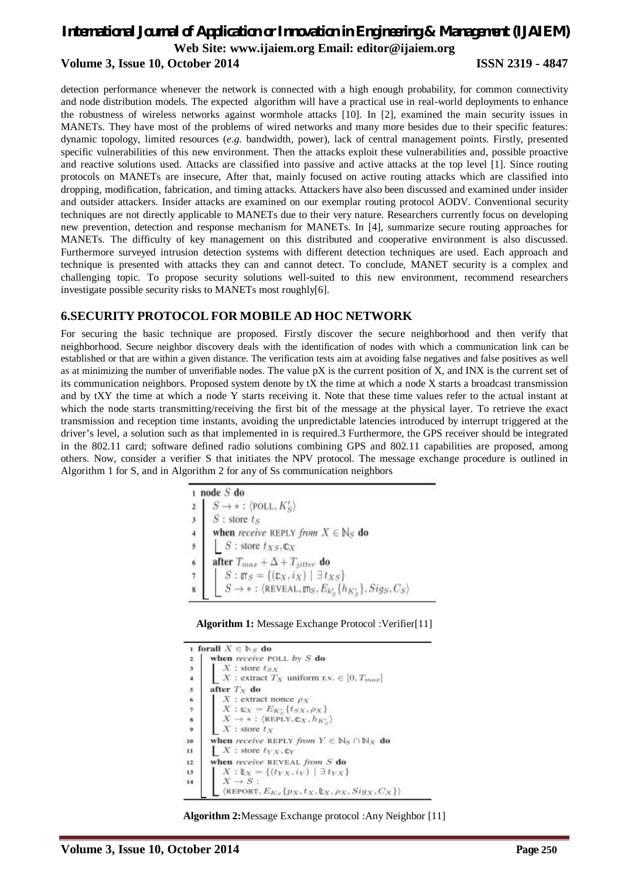## *International Journal of Application or Innovation in Engineering & Management (IJAIEM)* **Web Site: www.ijaiem.org Email: editor@ijaiem.org Volume 3, Issue 10, October 2014 ISSN 2319 - 4847**

detection performance whenever the network is connected with a high enough probability, for common connectivity and node distribution models. The expected algorithm will have a practical use in real-world deployments to enhance the robustness of wireless networks against wormhole attacks [10]. In [2], examined the main security issues in MANETs. They have most of the problems of wired networks and many more besides due to their specific features: dynamic topology, limited resources (*e.g.* bandwidth, power), lack of central management points. Firstly, presented specific vulnerabilities of this new environment. Then the attacks exploit these vulnerabilities and, possible proactive and reactive solutions used. Attacks are classified into passive and active attacks at the top level [1]. Since routing protocols on MANETs are insecure, After that, mainly focused on active routing attacks which are classified into dropping, modification, fabrication, and timing attacks. Attackers have also been discussed and examined under insider and outsider attackers. Insider attacks are examined on our exemplar routing protocol AODV. Conventional security techniques are not directly applicable to MANETs due to their very nature. Researchers currently focus on developing new prevention, detection and response mechanism for MANETs. In [4], summarize secure routing approaches for MANETs. The difficulty of key management on this distributed and cooperative environment is also discussed. Furthermore surveyed intrusion detection systems with different detection techniques are used. Each approach and technique is presented with attacks they can and cannot detect. To conclude, MANET security is a complex and challenging topic. To propose security solutions well-suited to this new environment, recommend researchers investigate possible security risks to MANETs most roughly[6].

#### **6.SECURITY PROTOCOL FOR MOBILE AD HOC NETWORK**

For securing the basic technique are proposed. Firstly discover the secure neighborhood and then verify that neighborhood. Secure neighbor discovery deals with the identification of nodes with which a communication link can be established or that are within a given distance. The verification tests aim at avoiding false negatives and false positives as well as at minimizing the number of unverifiable nodes. The value  $pX$  is the current position of  $X$ , and INX is the current set of its communication neighbors. Proposed system denote by  $tX$  the time at which a node  $X$  starts a broadcast transmission and by tXY the time at which a node Y starts receiving it. Note that these time values refer to the actual instant at which the node starts transmitting/receiving the first bit of the message at the physical layer. To retrieve the exact transmission and reception time instants, avoiding the unpredictable latencies introduced by interrupt triggered at the driver's level, a solution such as that implemented in is required.3 Furthermore, the GPS receiver should be integrated in the 802.11 card; software defined radio solutions combining GPS and 802.11 capabilities are proposed, among others. Now, consider a verifier S that initiates the NPV protocol. The message exchange procedure is outlined in Algorithm 1 for S, and in Algorithm 2 for any of Ss communication neighbors

|                                      | node $S$ do                                                                                            |
|--------------------------------------|--------------------------------------------------------------------------------------------------------|
|                                      | $S \rightarrow *$ : $\langle$ POLL, $K'_{S}$                                                           |
| $\mathbf{3}$                         | $S$ : store $t_S$                                                                                      |
|                                      | when receive REPLY from $X \in \mathbb{N}_S$ do                                                        |
| $\overline{\mathbf{s}}$ .            | $S:$ store $t_{XS}, \mathbb{C}$ <sub>X</sub>                                                           |
| $\overline{6}$                       | after $T_{max} + \Delta + T_{jitter}$ do                                                               |
| $\begin{matrix} 7 \\ 8 \end{matrix}$ | $S: \mathfrak{m}_S = \{(\mathfrak{c}_X,i_X) \mid \exists t_{XS}\}$                                     |
|                                      | $S \rightarrow *$ : $\langle \texttt{REVEAL}, \texttt{m}_S, E_{k'_S} \{h_{K'_S}\}, Sig_S, C_S \rangle$ |

#### **Algorithm 1:** Message Exchange Protocol :Verifier[11]

|         | 1 forall $X \in \mathbb{N}_S$ do                                                   |
|---------|------------------------------------------------------------------------------------|
|         | when receive POLL by $S$ do                                                        |
|         | X : store $t_{SX}$                                                                 |
|         | X: extract $T_X$ uniform r.v. $\in [0, T_{max}]$                                   |
| 3456789 | after $T_X$ do                                                                     |
|         | X : extract nonce $\rho_X$                                                         |
|         | $X: \mathfrak{C}_X = E_{K'_S} \{ t_{SX}, \rho_X \}$                                |
|         | $X \rightarrow * : (REPLY, \mathbb{C}X, h_{K'_{\alpha}})$                          |
|         | $X$ : store $t_X$                                                                  |
| 10      | when receive REPLY from $Y \in N_S \cap N_X$ do                                    |
| 11      | $X$ : store $t_{YX}, \mathbb{C}Y$                                                  |
| 12      | when receive REVEAL from S do                                                      |
| 13      | $X: \mathbb{t}_X = \{(t_{YX}, i_Y) \mid \exists t_{YX}\}$                          |
| 14      | $X \rightarrow S$ :                                                                |
|         | $\langle$ REPORT, $E_{K_S} \{p_X, t_X, \mathbb{L}_X, \rho_X, Sig_X, C_X\} \rangle$ |

**Algorithm 2:**Message Exchange protocol :Any Neighbor [11]